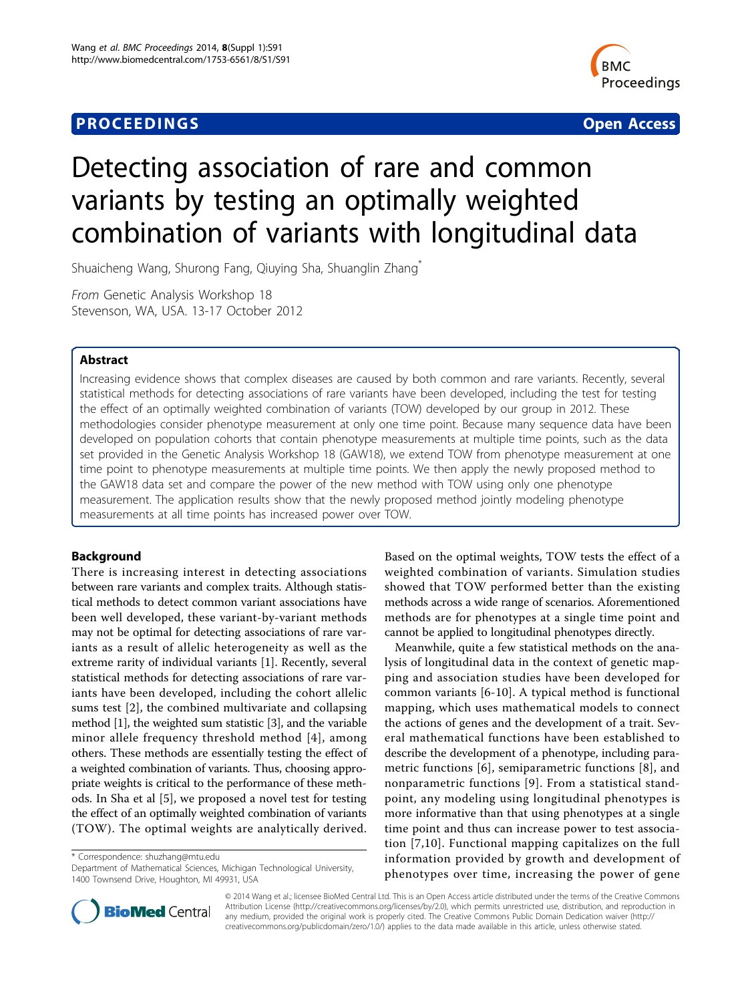# **PROCEEDINGS** Open Access



# Detecting association of rare and common variants by testing an optimally weighted combination of variants with longitudinal data

Shuaicheng Wang, Shurong Fang, Qiuying Sha, Shuanglin Zhang\*

From Genetic Analysis Workshop 18 Stevenson, WA, USA. 13-17 October 2012

# Abstract

Increasing evidence shows that complex diseases are caused by both common and rare variants. Recently, several statistical methods for detecting associations of rare variants have been developed, including the test for testing the effect of an optimally weighted combination of variants (TOW) developed by our group in 2012. These methodologies consider phenotype measurement at only one time point. Because many sequence data have been developed on population cohorts that contain phenotype measurements at multiple time points, such as the data set provided in the Genetic Analysis Workshop 18 (GAW18), we extend TOW from phenotype measurement at one time point to phenotype measurements at multiple time points. We then apply the newly proposed method to the GAW18 data set and compare the power of the new method with TOW using only one phenotype measurement. The application results show that the newly proposed method jointly modeling phenotype measurements at all time points has increased power over TOW.

# Background

There is increasing interest in detecting associations between rare variants and complex traits. Although statistical methods to detect common variant associations have been well developed, these variant-by-variant methods may not be optimal for detecting associations of rare variants as a result of allelic heterogeneity as well as the extreme rarity of individual variants [[1\]](#page-3-0). Recently, several statistical methods for detecting associations of rare variants have been developed, including the cohort allelic sums test [[2\]](#page-3-0), the combined multivariate and collapsing method [\[1\]](#page-3-0), the weighted sum statistic [[3](#page-3-0)], and the variable minor allele frequency threshold method [\[4\]](#page-3-0), among others. These methods are essentially testing the effect of a weighted combination of variants. Thus, choosing appropriate weights is critical to the performance of these methods. In Sha et al [\[5](#page-3-0)], we proposed a novel test for testing the effect of an optimally weighted combination of variants (TOW). The optimal weights are analytically derived.

\* Correspondence: [shuzhang@mtu.edu](mailto:shuzhang@mtu.edu)

Department of Mathematical Sciences, Michigan Technological University, 1400 Townsend Drive, Houghton, MI 49931, USA

Based on the optimal weights, TOW tests the effect of a weighted combination of variants. Simulation studies showed that TOW performed better than the existing methods across a wide range of scenarios. Aforementioned methods are for phenotypes at a single time point and cannot be applied to longitudinal phenotypes directly.

Meanwhile, quite a few statistical methods on the analysis of longitudinal data in the context of genetic mapping and association studies have been developed for common variants [[6-10\]](#page-3-0). A typical method is functional mapping, which uses mathematical models to connect the actions of genes and the development of a trait. Several mathematical functions have been established to describe the development of a phenotype, including parametric functions [[6](#page-3-0)], semiparametric functions [\[8\]](#page-3-0), and nonparametric functions [[9](#page-3-0)]. From a statistical standpoint, any modeling using longitudinal phenotypes is more informative than that using phenotypes at a single time point and thus can increase power to test association [[7,10\]](#page-3-0). Functional mapping capitalizes on the full information provided by growth and development of phenotypes over time, increasing the power of gene



© 2014 Wang et al.; licensee BioMed Central Ltd. This is an Open Access article distributed under the terms of the Creative Commons Attribution License [\(http://creativecommons.org/licenses/by/2.0](http://creativecommons.org/licenses/by/2.0)), which permits unrestricted use, distribution, and reproduction in any medium, provided the original work is properly cited. The Creative Commons Public Domain Dedication waiver [\(http://](http://creativecommons.org/publicdomain/zero/1.0/) [creativecommons.org/publicdomain/zero/1.0/](http://creativecommons.org/publicdomain/zero/1.0/)) applies to the data made available in this article, unless otherwise stated.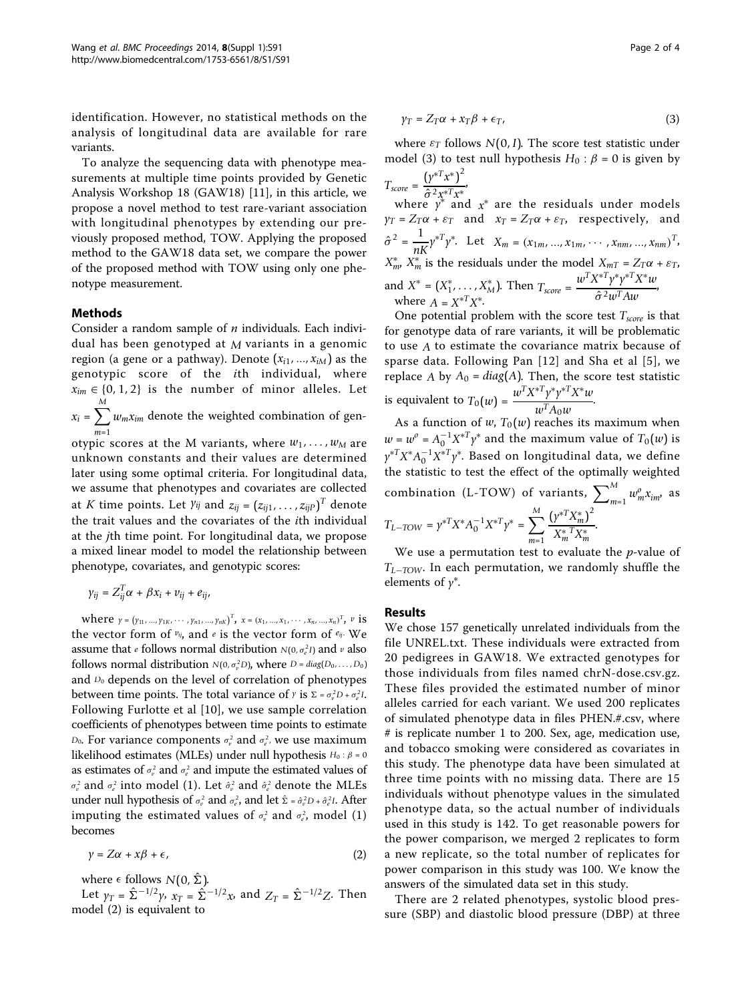identification. However, no statistical methods on the analysis of longitudinal data are available for rare variants.

To analyze the sequencing data with phenotype measurements at multiple time points provided by Genetic Analysis Workshop 18 (GAW18) [\[11](#page-3-0)], in this article, we propose a novel method to test rare-variant association with longitudinal phenotypes by extending our previously proposed method, TOW. Applying the proposed method to the GAW18 data set, we compare the power of the proposed method with TOW using only one phenotype measurement.

# Methods

Consider a random sample of  $n$  individuals. Each individual has been genotyped at *M* variants in a genomic region (a gene or a pathway). Denote  $(x_{i1},...,x_{iM})$  as the genotypic score of the ith individual, where  $x_{im} \in \{0, 1, 2\}$  is the number of minor alleles. Let  $x_i = \sum_{i=1}^{M}$ *m*=1  $w_m x_{im}$  denote the weighted combination of genotypic scores at the M variants, where  $w_1, \ldots, w_M$  are unknown constants and their values are determined

later using some optimal criteria. For longitudinal data, we assume that phenotypes and covariates are collected at  $K$  time points. Let  $\gamma_{ij}$  and  $z_{ij} = (z_{ij1}, \ldots, z_{ijP})^T$  denote the trait values and the covariates of the ith individual at the jth time point. For longitudinal data, we propose a mixed linear model to model the relationship between phenotype, covariates, and genotypic scores:

$$
\gamma_{ij}=Z_{ij}^T\alpha+\beta x_i+\nu_{ij}+e_{ij},
$$

where  $\gamma = (\gamma_{11}, ..., \gamma_{1K}, ..., \gamma_{n1}, ..., \gamma_{nK})^T$ ,  $x = (x_1, ..., x_1, ..., x_n, ..., x_n)^T$ ,  $v$  is the vector form of *vij*, and *<sup>e</sup>* is the vector form of *eij*. We assume that *e* follows normal distribution *N*(0, σ<sup>2</sup>I) and *v* also follows normal distribution  $N(0, \sigma_v^2 D)$ , where  $D = diag(D_0, \ldots, D_0)$ and *D*<sub>0</sub> depends on the level of correlation of phenotypes between time points. The total variance of *y* is  $\Sigma = \sigma_v^2 D + \sigma_e^2 I$ . Following Furlotte et al [[10](#page-3-0)], we use sample correlation coefficients of phenotypes between time points to estimate *D*<sub>0</sub>. For variance components  $\sigma_v^2$  and  $\sigma_e^2$ , we use maximum likelihood estimates (MLEs) under null hypothesis *<sup>H</sup>*<sup>0</sup> : <sup>β</sup> <sup>=</sup> <sup>0</sup> as estimates of  $\sigma_v^2$  and  $\sigma_e^2$  and impute the estimated values of  $\sigma_{\nu}^{2}$  and  $\sigma_{e}^{2}$  into model (1). Let  $\hat{\sigma}_{\nu}^{2}$  and  $\hat{\sigma}_{e}^{2}$  denote the MLEs under null hypothesis of  $\sigma_{\nu}^2$  and  $\sigma_{e}^2$ , and let  $\hat{\Sigma} = \hat{\sigma}_{\nu}^2 D + \hat{\sigma}_{e}^2 I$ . After imputing the estimated values of  $\sigma_{\!v}^2$  and  $\sigma_{\!e}^2$ , model (1) becomes

$$
\gamma = Z\alpha + x\beta + \epsilon,\tag{2}
$$

where  $\epsilon$  follows  $N(0, \hat{\Sigma})$ .

Let  $\gamma_T = \hat{\Sigma}^{-1/2} \gamma$ ,  $x_T = \hat{\Sigma}^{-1/2} x$ , and  $Z_T = \hat{\Sigma}^{-1/2} Z$ . Then model (2) is equivalent to

$$
\gamma_T = Z_T \alpha + x_T \beta + \epsilon_T, \qquad (3)
$$

where  $\varepsilon_T$  follows  $N(0, I)$ . The score test statistic under model (3) to test null hypothesis  $H_0$ :  $\beta$  = 0 is given by  $T_{score} = \frac{(y^{*T}x^*)^2}{27.4T}$ ,

 $\hat{\sigma}^2 x^{*T} x^*$ where *y* <sup>∗</sup> and *x*<sup>∗</sup> are the residuals under models  $\gamma_T = Z_T \alpha + \varepsilon_T$  and  $x_T = Z_T \alpha + \varepsilon_T$ , respectively, and  $\hat{\sigma}^2 = \frac{1}{nK} \gamma^{*T} \gamma^*$ . Let  $X_m = (x_{1m}, ..., x_{1m}, ..., x_{nm}, ..., x_{nm})^T$ *X*<sup>\*</sup><sub>*m*</sub>, *X*<sup>\*</sup><sub>*m*</sub> is the residuals under the model *X*<sub>*mT*</sub> = *Z*<sub>T</sub> $\alpha$  +  $\varepsilon$ <sub>*T*</sub>, and  $X^* = (X_1^*, \ldots, X_M^*)$ . Then  $T_{score} = \frac{w^T X^{*T} y^* y^{*T} X^* w}{\hat{\sigma}^2 w^T A w}$ , where  $A = X^{*T} X^*$ . where  $A = X^*X^*$ .

One potential problem with the score test *Tscore* is that for genotype data of rare variants, it will be problematic to use *A* to estimate the covariance matrix because of sparse data. Following Pan [[12](#page-3-0)] and Sha et al [[5](#page-3-0)], we replace *A* by  $A_0 = diag(A)$ . Then, the score test statistic is equivalent to  $T_0(w) = \frac{w^T X^{*T} \gamma^* \gamma^{*T} X^* w}{w^T A_0 w}$ .

As a function of *w*,  $T_0(w)$  reaches its maximum when  $w = w^0 = A_0^{-1} X^{*T} \gamma^*$  and the maximum value of  $T_0(w)$  is  $\gamma^{*T}X^*A_0^{-1}X^{*T}\gamma^*$ . Based on longitudinal data, we define the statistic to test the effect of the optimally weighted combination (L-TOW) of variants,  $\sum_{m=1}^{M} w_m^o x_{im}$ , as  $T_{L-TOW} = \gamma^{*T} X^* A_0^{-1} X^{*T} \gamma^* = \sum^M$ *m*=1  $(y^{*T}X_m^*)^2$ *X*∗ *mTX*<sup>∗</sup> *m* .

We use a permutation test to evaluate the  $p$ -value of *TL*−*TOW*. In each permutation, we randomly shuffle the elements of  $\gamma^*$ .

### Results

We chose 157 genetically unrelated individuals from the file UNREL.txt. These individuals were extracted from 20 pedigrees in GAW18. We extracted genotypes for those individuals from files named chrN-dose.csv.gz. These files provided the estimated number of minor alleles carried for each variant. We used 200 replicates of simulated phenotype data in files PHEN.#.csv, where # is replicate number 1 to 200. Sex, age, medication use, and tobacco smoking were considered as covariates in this study. The phenotype data have been simulated at three time points with no missing data. There are 15 individuals without phenotype values in the simulated phenotype data, so the actual number of individuals used in this study is 142. To get reasonable powers for the power comparison, we merged 2 replicates to form a new replicate, so the total number of replicates for power comparison in this study was 100. We know the answers of the simulated data set in this study.

There are 2 related phenotypes, systolic blood pressure (SBP) and diastolic blood pressure (DBP) at three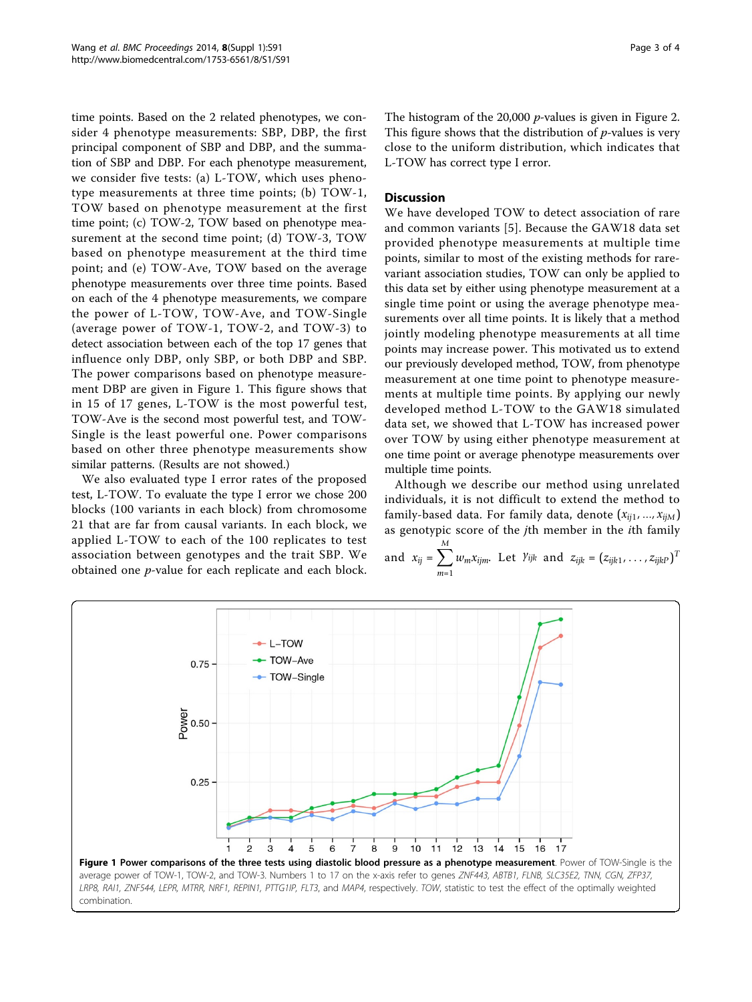time points. Based on the 2 related phenotypes, we consider 4 phenotype measurements: SBP, DBP, the first principal component of SBP and DBP, and the summation of SBP and DBP. For each phenotype measurement, we consider five tests: (a) L-TOW, which uses phenotype measurements at three time points; (b) TOW-1, TOW based on phenotype measurement at the first time point; (c) TOW-2, TOW based on phenotype measurement at the second time point; (d) TOW-3, TOW based on phenotype measurement at the third time point; and (e) TOW-Ave, TOW based on the average phenotype measurements over three time points. Based on each of the 4 phenotype measurements, we compare the power of L-TOW, TOW-Ave, and TOW-Single (average power of TOW-1, TOW-2, and TOW-3) to detect association between each of the top 17 genes that influence only DBP, only SBP, or both DBP and SBP. The power comparisons based on phenotype measurement DBP are given in Figure 1. This figure shows that in 15 of 17 genes, L-TOW is the most powerful test, TOW-Ave is the second most powerful test, and TOW-Single is the least powerful one. Power comparisons based on other three phenotype measurements show similar patterns. (Results are not showed.)

We also evaluated type I error rates of the proposed test, L-TOW. To evaluate the type I error we chose 200 blocks (100 variants in each block) from chromosome 21 that are far from causal variants. In each block, we applied L-TOW to each of the 100 replicates to test association between genotypes and the trait SBP. We obtained one p-value for each replicate and each block.

The histogram of the [2](#page-3-0)0,000  $p$ -values is given in Figure 2. This figure shows that the distribution of  $p$ -values is very close to the uniform distribution, which indicates that L-TOW has correct type I error.

# **Discussion**

We have developed TOW to detect association of rare and common variants [[5\]](#page-3-0). Because the GAW18 data set provided phenotype measurements at multiple time points, similar to most of the existing methods for rarevariant association studies, TOW can only be applied to this data set by either using phenotype measurement at a single time point or using the average phenotype measurements over all time points. It is likely that a method jointly modeling phenotype measurements at all time points may increase power. This motivated us to extend our previously developed method, TOW, from phenotype measurement at one time point to phenotype measurements at multiple time points. By applying our newly developed method L-TOW to the GAW18 simulated data set, we showed that L-TOW has increased power over TOW by using either phenotype measurement at one time point or average phenotype measurements over multiple time points.

Although we describe our method using unrelated individuals, it is not difficult to extend the method to family-based data. For family data, denote (*xij*1, ..., *xijM*) as genotypic score of the jth member in the ith family *M*

and 
$$
x_{ij} = \sum_{m=1} w_m x_{ijm}
$$
. Let  $Y_{ijk}$  and  $z_{ijk} = (z_{ijk1}, \ldots, z_{ijkP})^T$